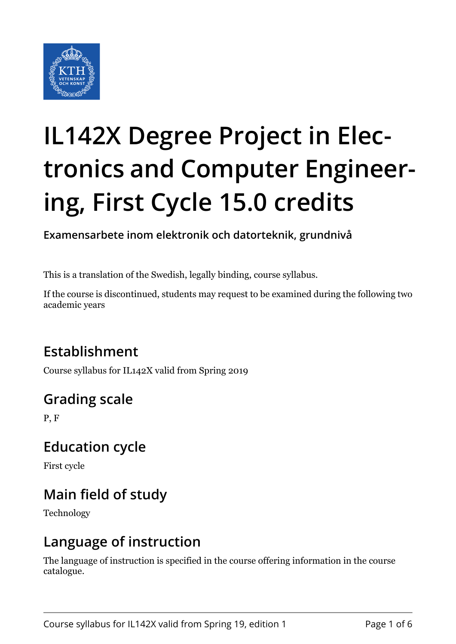

# **IL142X Degree Project in Electronics and Computer Engineering, First Cycle 15.0 credits**

**Examensarbete inom elektronik och datorteknik, grundnivå**

This is a translation of the Swedish, legally binding, course syllabus.

If the course is discontinued, students may request to be examined during the following two academic years

# **Establishment**

Course syllabus for IL142X valid from Spring 2019

# **Grading scale**

P, F

### **Education cycle**

First cycle

# **Main field of study**

Technology

### **Language of instruction**

The language of instruction is specified in the course offering information in the course catalogue.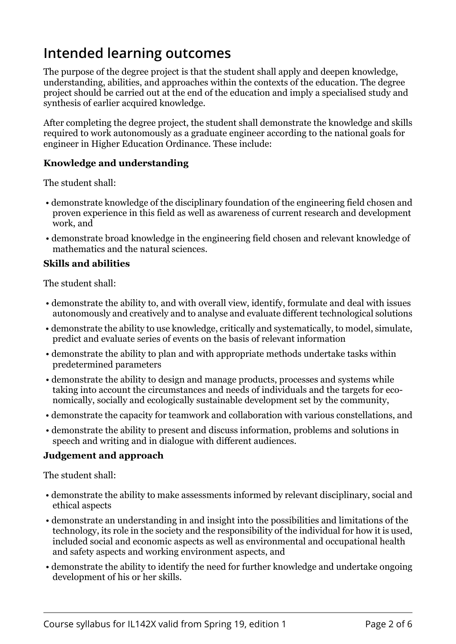## **Intended learning outcomes**

The purpose of the degree project is that the student shall apply and deepen knowledge, understanding, abilities, and approaches within the contexts of the education. The degree project should be carried out at the end of the education and imply a specialised study and synthesis of earlier acquired knowledge.

After completing the degree project, the student shall demonstrate the knowledge and skills required to work autonomously as a graduate engineer according to the national goals for engineer in Higher Education Ordinance. These include:

#### **Knowledge and understanding**

The student shall:

- demonstrate knowledge of the disciplinary foundation of the engineering field chosen and proven experience in this field as well as awareness of current research and development work, and
- demonstrate broad knowledge in the engineering field chosen and relevant knowledge of mathematics and the natural sciences.

#### **Skills and abilities**

The student shall:

- demonstrate the ability to, and with overall view, identify, formulate and deal with issues autonomously and creatively and to analyse and evaluate different technological solutions
- demonstrate the ability to use knowledge, critically and systematically, to model, simulate, predict and evaluate series of events on the basis of relevant information
- demonstrate the ability to plan and with appropriate methods undertake tasks within predetermined parameters
- demonstrate the ability to design and manage products, processes and systems while taking into account the circumstances and needs of individuals and the targets for economically, socially and ecologically sustainable development set by the community,
- demonstrate the capacity for teamwork and collaboration with various constellations, and
- demonstrate the ability to present and discuss information, problems and solutions in speech and writing and in dialogue with different audiences.

#### *b***d b**

The student shall:

- demonstrate the ability to make assessments informed by relevant disciplinary, social and ethical aspects
- demonstrate an understanding in and insight into the possibilities and limitations of the technology, its role in the society and the responsibility of the individual for how it is used, included social and economic aspects as well as environmental and occupational health and safety aspects and working environment aspects, and
- demonstrate the ability to identify the need for further knowledge and undertake ongoing development of his or her skills.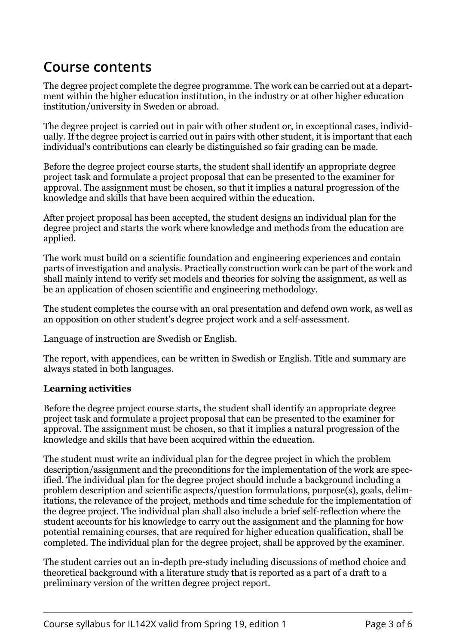### **Course contents**

The degree project complete the degree programme. The work can be carried out at a department within the higher education institution, in the industry or at other higher education institution/university in Sweden or abroad.

The degree project is carried out in pair with other student or, in exceptional cases, individually. If the degree project is carried out in pairs with other student, it is important that each individual's contributions can clearly be distinguished so fair grading can be made.

Before the degree project course starts, the student shall identify an appropriate degree project task and formulate a project proposal that can be presented to the examiner for approval. The assignment must be chosen, so that it implies a natural progression of the knowledge and skills that have been acquired within the education.

After project proposal has been accepted, the student designs an individual plan for the degree project and starts the work where knowledge and methods from the education are applied.

The work must build on a scientific foundation and engineering experiences and contain parts of investigation and analysis. Practically construction work can be part of the work and shall mainly intend to verify set models and theories for solving the assignment, as well as be an application of chosen scientific and engineering methodology.

The student completes the course with an oral presentation and defend own work, as well as an opposition on other student's degree project work and a self-assessment.

Language of instruction are Swedish or English.

The report, with appendices, can be written in Swedish or English. Title and summary are always stated in both languages.

#### *Learning activities*

Before the degree project course starts, the student shall identify an appropriate degree project task and formulate a project proposal that can be presented to the examiner for approval. The assignment must be chosen, so that it implies a natural progression of the knowledge and skills that have been acquired within the education.

The student must write an individual plan for the degree project in which the problem description/assignment and the preconditions for the implementation of the work are specified. The individual plan for the degree project should include a background including a problem description and scientific aspects/question formulations, purpose(s), goals, delimitations, the relevance of the project, methods and time schedule for the implementation of the degree project. The individual plan shall also include a brief self-reflection where the student accounts for his knowledge to carry out the assignment and the planning for how potential remaining courses, that are required for higher education qualification, shall be completed. The individual plan for the degree project, shall be approved by the examiner.

The student carries out an in-depth pre-study including discussions of method choice and theoretical background with a literature study that is reported as a part of a draft to a preliminary version of the written degree project report.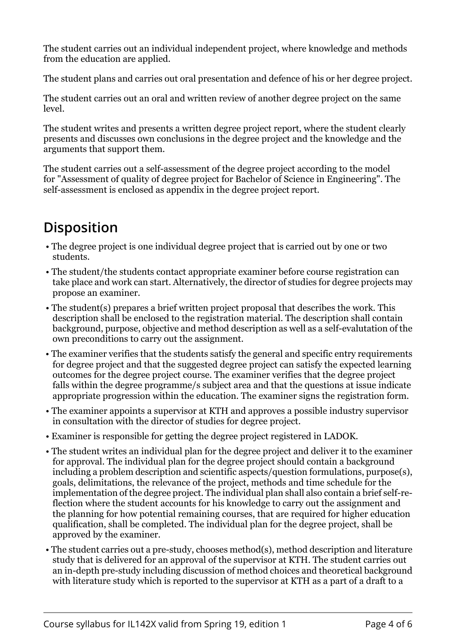The student carries out an individual independent project, where knowledge and methods from the education are applied.

The student plans and carries out oral presentation and defence of his or her degree project.

The student carries out an oral and written review of another degree project on the same level.

The student writes and presents a written degree project report, where the student clearly presents and discusses own conclusions in the degree project and the knowledge and the arguments that support them.

The student carries out a self-assessment of the degree project according to the model for "Assessment of quality of degree project for Bachelor of Science in Engineering". The self-assessment is enclosed as appendix in the degree project report.

# **Disposition**

- The degree project is one individual degree project that is carried out by one or two students.
- The student/the students contact appropriate examiner before course registration can take place and work can start. Alternatively, the director of studies for degree projects may propose an examiner.
- The student(s) prepares a brief written project proposal that describes the work. This description shall be enclosed to the registration material. The description shall contain background, purpose, objective and method description as well as a self-evalutation of the own preconditions to carry out the assignment.
- The examiner verifies that the students satisfy the general and specific entry requirements for degree project and that the suggested degree project can satisfy the expected learning outcomes for the degree project course. The examiner verifies that the degree project falls within the degree programme/s subject area and that the questions at issue indicate appropriate progression within the education. The examiner signs the registration form.
- The examiner appoints a supervisor at KTH and approves a possible industry supervisor in consultation with the director of studies for degree project.
- Examiner is responsible for getting the degree project registered in LADOK.
- The student writes an individual plan for the degree project and deliver it to the examiner for approval. The individual plan for the degree project should contain a background including a problem description and scientific aspects/question formulations, purpose(s), goals, delimitations, the relevance of the project, methods and time schedule for the implementation of the degree project. The individual plan shall also contain a brief self-reflection where the student accounts for his knowledge to carry out the assignment and the planning for how potential remaining courses, that are required for higher education qualification, shall be completed. The individual plan for the degree project, shall be approved by the examiner.
- The student carries out a pre-study, chooses method(s), method description and literature study that is delivered for an approval of the supervisor at KTH. The student carries out an in-depth pre-study including discussion of method choices and theoretical background with literature study which is reported to the supervisor at KTH as a part of a draft to a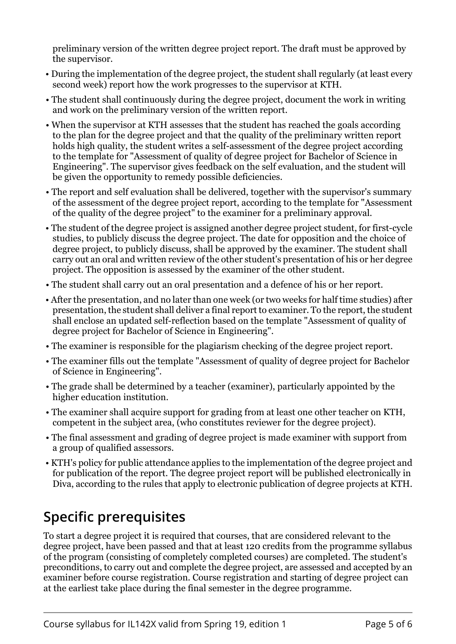preliminary version of the written degree project report. The draft must be approved by the supervisor.

- During the implementation of the degree project, the student shall regularly (at least every second week) report how the work progresses to the supervisor at KTH.
- The student shall continuously during the degree project, document the work in writing and work on the preliminary version of the written report.
- When the supervisor at KTH assesses that the student has reached the goals according to the plan for the degree project and that the quality of the preliminary written report holds high quality, the student writes a self-assessment of the degree project according to the template for "Assessment of quality of degree project for Bachelor of Science in Engineering". The supervisor gives feedback on the self evaluation, and the student will be given the opportunity to remedy possible deficiencies.
- The report and self evaluation shall be delivered, together with the supervisor's summary of the assessment of the degree project report, according to the template for "Assessment of the quality of the degree project" to the examiner for a preliminary approval.
- The student of the degree project is assigned another degree project student, for first-cycle studies, to publicly discuss the degree project. The date for opposition and the choice of degree project, to publicly discuss, shall be approved by the examiner. The student shall carry out an oral and written review of the other student's presentation of his or her degree project. The opposition is assessed by the examiner of the other student.
- The student shall carry out an oral presentation and a defence of his or her report.
- After the presentation, and no later than one week (or two weeks for half time studies) after presentation, the student shall deliver a final report to examiner. To the report, the student shall enclose an updated self-reflection based on the template "Assessment of quality of degree project for Bachelor of Science in Engineering".
- The examiner is responsible for the plagiarism checking of the degree project report.
- The examiner fills out the template "Assessment of quality of degree project for Bachelor of Science in Engineering".
- The grade shall be determined by a teacher (examiner), particularly appointed by the higher education institution.
- The examiner shall acquire support for grading from at least one other teacher on KTH, competent in the subject area, (who constitutes reviewer for the degree project).
- The final assessment and grading of degree project is made examiner with support from a group of qualified assessors.
- KTH's policy for public attendance applies to the implementation of the degree project and for publication of the report. The degree project report will be published electronically in Diva, according to the rules that apply to electronic publication of degree projects at KTH.

## **Specific prerequisites**

To start a degree project it is required that courses, that are considered relevant to the degree project, have been passed and that at least 120 credits from the programme syllabus of the program (consisting of completely completed courses) are completed. The student's preconditions, to carry out and complete the degree project, are assessed and accepted by an examiner before course registration. Course registration and starting of degree project can at the earliest take place during the final semester in the degree programme.